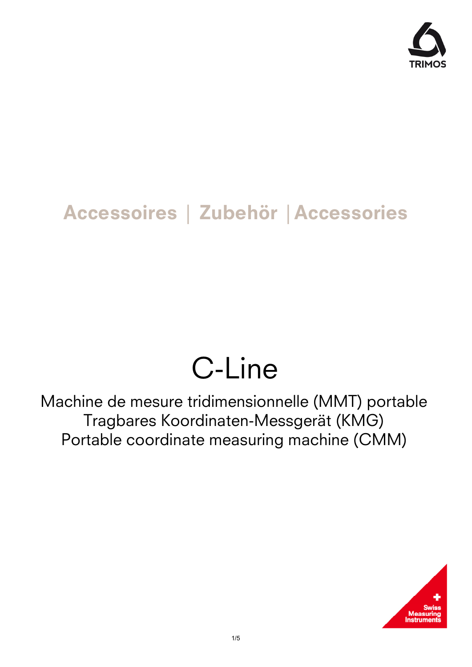

## **Accessoires │ Zubehör │Accessories**

## C-Line

Machine de mesure tridimensionnelle (MMT) portable Tragbares Koordinaten-Messgerät (KMG) Portable coordinate measuring machine (CMM)

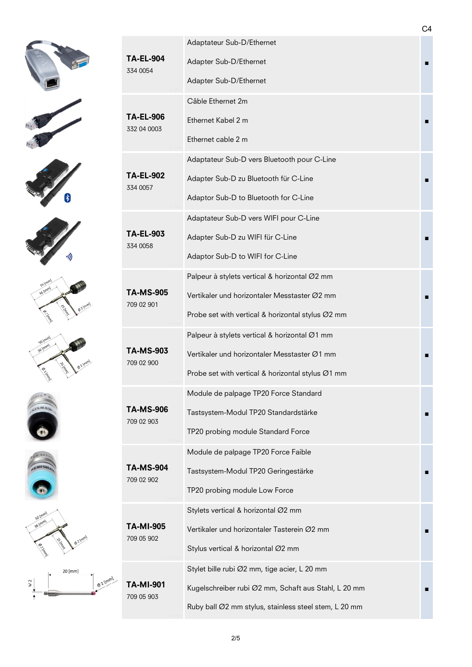



















| <b>TA-EL-904</b><br>334 0054    | Adaptateur Sub-D/Ethernet                             |  |  |  |  |
|---------------------------------|-------------------------------------------------------|--|--|--|--|
|                                 | Adapter Sub-D/Ethernet                                |  |  |  |  |
|                                 | Adapter Sub-D/Ethernet                                |  |  |  |  |
|                                 | Câble Ethernet 2m                                     |  |  |  |  |
| <b>TA-EL-906</b><br>332 04 0003 | Ethernet Kabel 2 m                                    |  |  |  |  |
|                                 | Ethernet cable 2 m                                    |  |  |  |  |
|                                 | Adaptateur Sub-D vers Bluetooth pour C-Line           |  |  |  |  |
| <b>TA-EL-902</b>                | Adapter Sub-D zu Bluetooth für C-Line                 |  |  |  |  |
| 334 0057                        | Adaptor Sub-D to Bluetooth for C-Line                 |  |  |  |  |
|                                 | Adaptateur Sub-D vers WIFI pour C-Line                |  |  |  |  |
| <b>TA-EL-903</b>                | Adapter Sub-D zu WIFI für C-Line                      |  |  |  |  |
| 334 0058                        | Adaptor Sub-D to WIFI for C-Line                      |  |  |  |  |
|                                 | Palpeur à stylets vertical & horizontal Ø2 mm         |  |  |  |  |
| TA-MS-905                       | Vertikaler und horizontaler Messtaster Ø2 mm          |  |  |  |  |
| 709 02 901                      | Probe set with vertical & horizontal stylus Ø2 mm     |  |  |  |  |
|                                 | Palpeur à stylets vertical & horizontal Ø1 mm         |  |  |  |  |
| <b>TA-MS-903</b>                | Vertikaler und horizontaler Messtaster Ø1 mm          |  |  |  |  |
| 709 02 900                      | Probe set with vertical & horizontal stylus $Ø1$ mm   |  |  |  |  |
|                                 | Module de palpage TP20 Force Standard                 |  |  |  |  |
| TA-MS-906                       | Tastsystem-Modul TP20 Standardstärke                  |  |  |  |  |
| 709 02 903                      | TP20 probing module Standard Force                    |  |  |  |  |
| <b>TA-MS-904</b><br>709 02 902  | Module de palpage TP20 Force Faible                   |  |  |  |  |
|                                 | Tastsystem-Modul TP20 Geringestärke                   |  |  |  |  |
|                                 | TP20 probing module Low Force                         |  |  |  |  |
| TA-MI-905<br>709 05 902         | Stylets vertical & horizontal Ø2 mm                   |  |  |  |  |
|                                 | Vertikaler und horizontaler Tasterein Ø2 mm           |  |  |  |  |
|                                 | Stylus vertical & horizontal Ø2 mm                    |  |  |  |  |
| TA-MI-901<br>709 05 903         | Stylet bille rubi Ø2 mm, tige acier, L 20 mm          |  |  |  |  |
|                                 | Kugelschreiber rubi Ø2 mm, Schaft aus Stahl, L 20 mm  |  |  |  |  |
|                                 | Ruby ball Ø2 mm stylus, stainless steel stem, L 20 mm |  |  |  |  |
|                                 |                                                       |  |  |  |  |

C4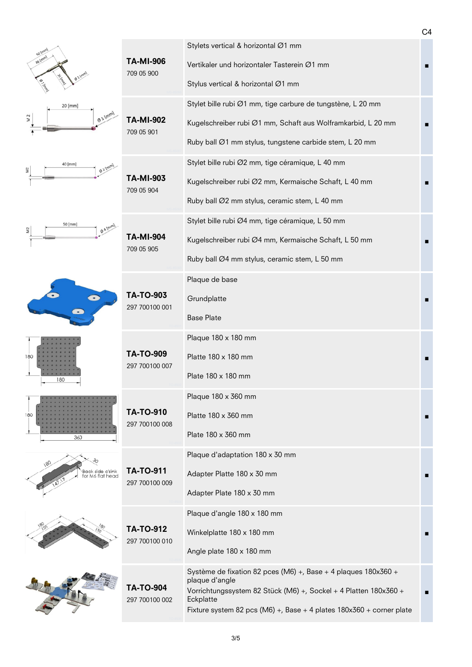|                                                     |                                    |                                                                                                                                                                                                                                             | C <sub>4</sub> |
|-----------------------------------------------------|------------------------------------|---------------------------------------------------------------------------------------------------------------------------------------------------------------------------------------------------------------------------------------------|----------------|
| 50 (mm)<br>36 (mm)                                  | <b>TA-MI-906</b><br>709 05 900     | Stylets vertical & horizontal Ø1 mm<br>Vertikaler und horizontaler Tasterein Ø1 mm<br>Stylus vertical & horizontal Ø1 mm                                                                                                                    |                |
| 20 [mm]<br>$\Phi^{\text{1}}$ [mm]<br>$\overline{M}$ | <b>TA-MI-902</b><br>709 05 901     | Stylet bille rubi Ø1 mm, tige carbure de tungstène, L 20 mm<br>Kugelschreiber rubi Ø1 mm, Schaft aus Wolframkarbid, L 20 mm<br>Ruby ball Ø1 mm stylus, tungstene carbide stem, L 20 mm                                                      |                |
| 40 [mm]<br>$Q^2$ Imm                                | <b>TA-MI-903</b><br>709 05 904     | Stylet bille rubi Ø2 mm, tige céramique, L 40 mm<br>Kugelschreiber rubi Ø2 mm, Kermaische Schaft, L 40 mm<br>Ruby ball Ø2 mm stylus, ceramic stem, L 40 mm                                                                                  |                |
| 50 [mm]<br>$\Phi$ A [mm]                            | <b>TA-MI-904</b><br>709 05 905     | Stylet bille rubi Ø4 mm, tige céramique, L 50 mm<br>Kugelschreiber rubi Ø4 mm, Kermaische Schaft, L 50 mm<br>Ruby ball Ø4 mm stylus, ceramic stem, L 50 mm                                                                                  |                |
|                                                     | <b>TA-TO-903</b><br>297 700100 001 | Plaque de base<br>Grundplatte<br><b>Base Plate</b>                                                                                                                                                                                          |                |
| 180<br>180                                          | <b>TA-TO-909</b><br>297 700100 007 | Plaque 180 x 180 mm<br>Platte 180 x 180 mm<br>Plate 180 x 180 mm                                                                                                                                                                            |                |
| 180<br>360                                          | <b>TA-TO-910</b><br>297 700100 008 | Plaque 180 x 360 mm<br>Platte 180 x 360 mm<br>Plate 180 x 360 mm                                                                                                                                                                            |                |
| Back side c'sink<br>for M6 flat head                | <b>TA-TO-911</b><br>297 700100 009 | Plaque d'adaptation 180 x 30 mm<br>Adapter Platte 180 x 30 mm<br>Adapter Plate 180 x 30 mm                                                                                                                                                  |                |
|                                                     | <b>TA-TO-912</b><br>297 700100 010 | Plaque d'angle 180 x 180 mm<br>Winkelplatte 180 x 180 mm<br>Angle plate 180 x 180 mm                                                                                                                                                        |                |
|                                                     | <b>TA-TO-904</b><br>297 700100 002 | Système de fixation 82 pces (M6) +, Base + 4 plaques 180x360 +<br>plaque d'angle<br>Vorrichtungssystem 82 Stück (M6) +, Sockel + 4 Platten 180x360 +<br>Eckplatte<br>Fixture system 82 pcs (M6) +, Base + 4 plates $180x360$ + corner plate |                |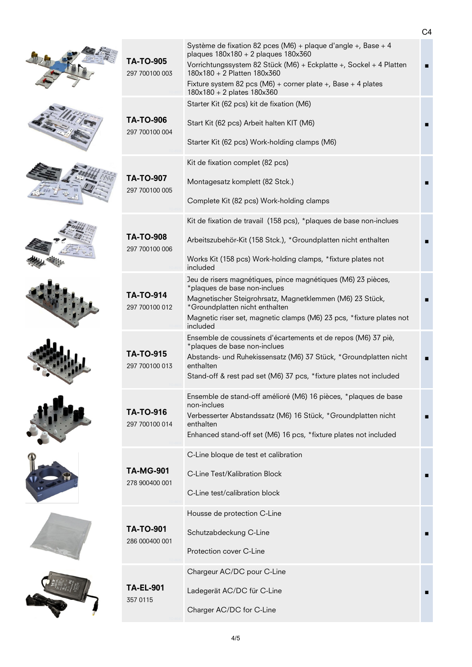| <b>TA-TO-905</b><br>297 700100 003 | Système de fixation 82 pces (M6) + plaque d'angle +, Base + 4<br>plaques $180x180 + 2$ plaques $180x360$<br>Vorrichtungssystem 82 Stück (M6) + Eckplatte +, Sockel + 4 Platten<br>180x180 + 2 Platten 180x360<br>Fixture system 82 pcs (M6) + corner plate +, Base + 4 plates<br>180x180 + 2 plates 180x360 |  |
|------------------------------------|-------------------------------------------------------------------------------------------------------------------------------------------------------------------------------------------------------------------------------------------------------------------------------------------------------------|--|
| <b>TA-TO-906</b><br>297 700100 004 | Starter Kit (62 pcs) kit de fixation (M6)<br>Start Kit (62 pcs) Arbeit halten KIT (M6)<br>Starter Kit (62 pcs) Work-holding clamps (M6)                                                                                                                                                                     |  |
| <b>TA-TO-907</b><br>297 700100 005 | Kit de fixation complet (82 pcs)<br>Montagesatz komplett (82 Stck.)<br>Complete Kit (82 pcs) Work-holding clamps                                                                                                                                                                                            |  |
| <b>TA-TO-908</b><br>297 700100 006 | Kit de fixation de travail (158 pcs), *plaques de base non-inclues<br>Arbeitszubehör-Kit (158 Stck.), *Groundplatten nicht enthalten<br>Works Kit (158 pcs) Work-holding clamps, *fixture plates not<br>included                                                                                            |  |
| <b>TA-TO-914</b><br>297 700100 012 | Jeu de risers magnétiques, pince magnétiques (M6) 23 pièces,<br>*plaques de base non-inclues<br>Magnetischer Steigrohrsatz, Magnetklemmen (M6) 23 Stück,<br>*Groundplatten nicht enthalten<br>Magnetic riser set, magnetic clamps (M6) 23 pcs, *fixture plates not<br>included                              |  |
| <b>TA-TO-915</b><br>297 700100 013 | Ensemble de coussinets d'écartements et de repos (M6) 37 piè,<br>*plaques de base non-inclues<br>Abstands- und Ruhekissensatz (M6) 37 Stück, *Groundplatten nicht<br>enthalten<br>Stand-off & rest pad set (M6) 37 pcs, *fixture plates not included                                                        |  |
| <b>TA-TO-916</b><br>297 700100 014 | Ensemble de stand-off amélioré (M6) 16 pièces, *plaques de base<br>non-inclues<br>Verbesserter Abstandssatz (M6) 16 Stück, *Groundplatten nicht<br>enthalten<br>Enhanced stand-off set (M6) 16 pcs, *fixture plates not included                                                                            |  |
| <b>TA-MG-901</b><br>278 900400 001 | C-Line bloque de test et calibration<br>C-Line Test/Kalibration Block<br>C-Line test/calibration block                                                                                                                                                                                                      |  |
| <b>TA-TO-901</b><br>286 000400 001 | Housse de protection C-Line<br>Schutzabdeckung C-Line<br>Protection cover C-Line                                                                                                                                                                                                                            |  |
| <b>TA-EL-901</b><br>357 0115       | Chargeur AC/DC pour C-Line<br>Ladegerät AC/DC für C-Line<br>Charger AC/DC for C-Line                                                                                                                                                                                                                        |  |